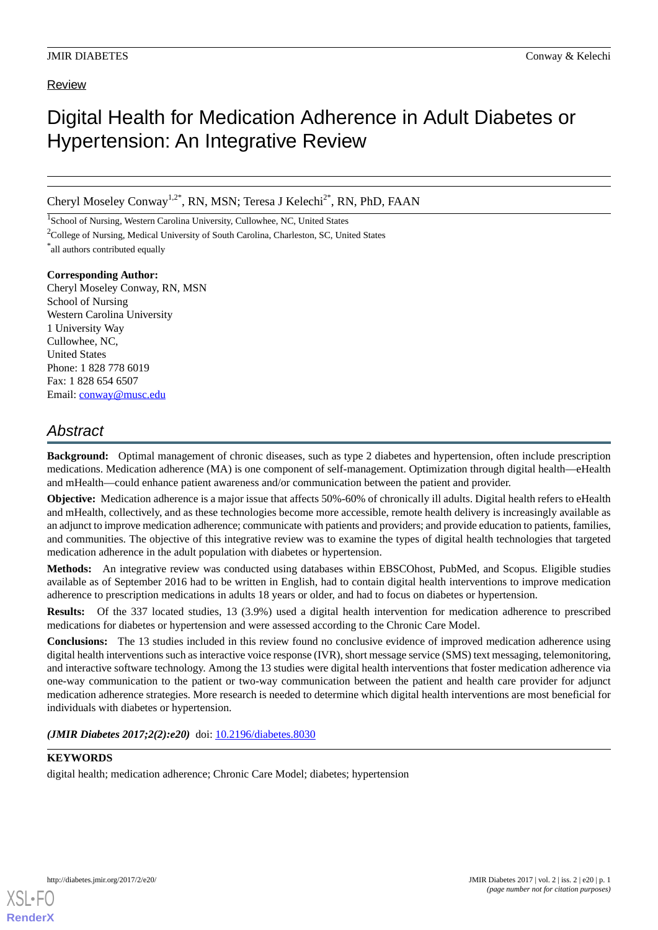### Review

# Digital Health for Medication Adherence in Adult Diabetes or Hypertension: An Integrative Review

Cheryl Moseley Conway<sup>1,2\*</sup>, RN, MSN; Teresa J Kelechi<sup>2\*</sup>, RN, PhD, FAAN

<sup>1</sup>School of Nursing, Western Carolina University, Cullowhee, NC, United States

<sup>2</sup>College of Nursing, Medical University of South Carolina, Charleston, SC, United States

\* all authors contributed equally

**Corresponding Author:**

Cheryl Moseley Conway, RN, MSN School of Nursing Western Carolina University 1 University Way Cullowhee, NC, United States Phone: 1 828 778 6019 Fax: 1 828 654 6507 Email: [conway@musc.edu](mailto:conway@musc.edu)

# *Abstract*

**Background:** Optimal management of chronic diseases, such as type 2 diabetes and hypertension, often include prescription medications. Medication adherence (MA) is one component of self-management. Optimization through digital health—eHealth and mHealth—could enhance patient awareness and/or communication between the patient and provider.

**Objective:** Medication adherence is a major issue that affects 50%-60% of chronically ill adults. Digital health refers to eHealth and mHealth, collectively, and as these technologies become more accessible, remote health delivery is increasingly available as an adjunct to improve medication adherence; communicate with patients and providers; and provide education to patients, families, and communities. The objective of this integrative review was to examine the types of digital health technologies that targeted medication adherence in the adult population with diabetes or hypertension.

**Methods:** An integrative review was conducted using databases within EBSCOhost, PubMed, and Scopus. Eligible studies available as of September 2016 had to be written in English, had to contain digital health interventions to improve medication adherence to prescription medications in adults 18 years or older, and had to focus on diabetes or hypertension.

**Results:** Of the 337 located studies, 13 (3.9%) used a digital health intervention for medication adherence to prescribed medications for diabetes or hypertension and were assessed according to the Chronic Care Model.

**Conclusions:** The 13 studies included in this review found no conclusive evidence of improved medication adherence using digital health interventions such as interactive voice response (IVR), short message service (SMS) text messaging, telemonitoring, and interactive software technology. Among the 13 studies were digital health interventions that foster medication adherence via one-way communication to the patient or two-way communication between the patient and health care provider for adjunct medication adherence strategies. More research is needed to determine which digital health interventions are most beneficial for individuals with diabetes or hypertension.

*(JMIR Diabetes 2017;2(2):e20)* doi: [10.2196/diabetes.8030](http://dx.doi.org/10.2196/diabetes.8030)

## **KEYWORDS**

digital health; medication adherence; Chronic Care Model; diabetes; hypertension

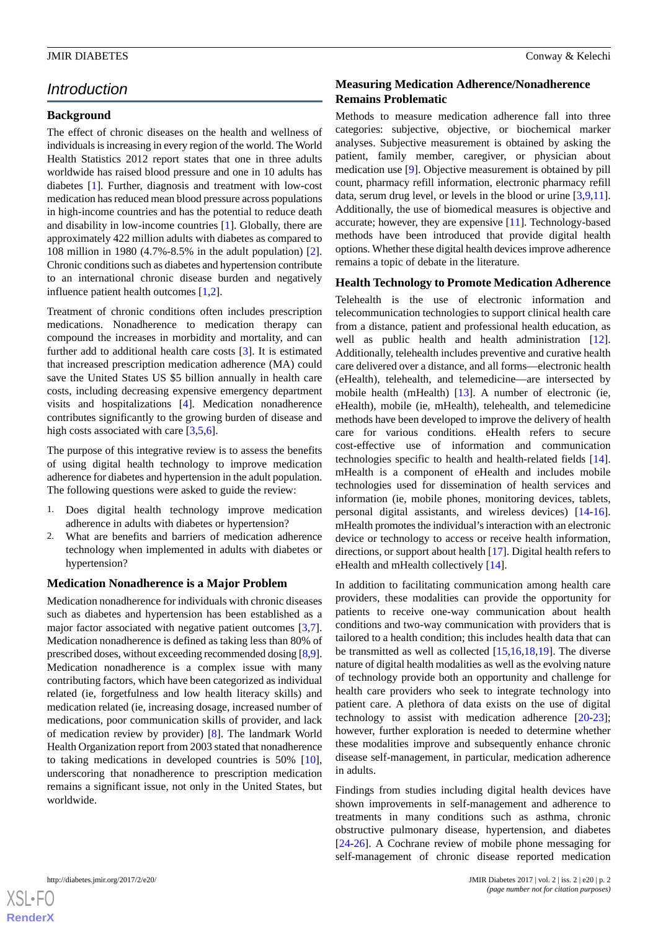# *Introduction*

#### **Background**

The effect of chronic diseases on the health and wellness of individuals is increasing in every region of the world. The World Health Statistics 2012 report states that one in three adults worldwide has raised blood pressure and one in 10 adults has diabetes [[1\]](#page-10-0). Further, diagnosis and treatment with low-cost medication has reduced mean blood pressure across populations in high-income countries and has the potential to reduce death and disability in low-income countries [\[1](#page-10-0)]. Globally, there are approximately 422 million adults with diabetes as compared to 108 million in 1980 (4.7%-8.5% in the adult population) [[2\]](#page-10-1). Chronic conditions such as diabetes and hypertension contribute to an international chronic disease burden and negatively influence patient health outcomes [\[1](#page-10-0),[2\]](#page-10-1).

Treatment of chronic conditions often includes prescription medications. Nonadherence to medication therapy can compound the increases in morbidity and mortality, and can further add to additional health care costs [[3\]](#page-10-2). It is estimated that increased prescription medication adherence (MA) could save the United States US \$5 billion annually in health care costs, including decreasing expensive emergency department visits and hospitalizations [[4](#page-10-3)]. Medication nonadherence contributes significantly to the growing burden of disease and high costs associated with care [[3,](#page-10-2)[5](#page-10-4),[6\]](#page-10-5).

The purpose of this integrative review is to assess the benefits of using digital health technology to improve medication adherence for diabetes and hypertension in the adult population. The following questions were asked to guide the review:

- 1. Does digital health technology improve medication adherence in adults with diabetes or hypertension?
- 2. What are benefits and barriers of medication adherence technology when implemented in adults with diabetes or hypertension?

#### **Medication Nonadherence is a Major Problem**

Medication nonadherence for individuals with chronic diseases such as diabetes and hypertension has been established as a major factor associated with negative patient outcomes [\[3](#page-10-2),[7\]](#page-10-6). Medication nonadherence is defined as taking less than 80% of prescribed doses, without exceeding recommended dosing [[8,](#page-10-7)[9\]](#page-10-8). Medication nonadherence is a complex issue with many contributing factors, which have been categorized as individual related (ie, forgetfulness and low health literacy skills) and medication related (ie, increasing dosage, increased number of medications, poor communication skills of provider, and lack of medication review by provider) [\[8](#page-10-7)]. The landmark World Health Organization report from 2003 stated that nonadherence to taking medications in developed countries is 50% [[10\]](#page-10-9), underscoring that nonadherence to prescription medication remains a significant issue, not only in the United States, but worldwide.

#### **Measuring Medication Adherence/Nonadherence Remains Problematic**

Methods to measure medication adherence fall into three categories: subjective, objective, or biochemical marker analyses. Subjective measurement is obtained by asking the patient, family member, caregiver, or physician about medication use [[9\]](#page-10-8). Objective measurement is obtained by pill count, pharmacy refill information, electronic pharmacy refill data, serum drug level, or levels in the blood or urine [[3](#page-10-2)[,9](#page-10-8),[11\]](#page-10-10). Additionally, the use of biomedical measures is objective and accurate; however, they are expensive [\[11](#page-10-10)]. Technology-based methods have been introduced that provide digital health options. Whether these digital health devices improve adherence remains a topic of debate in the literature.

#### **Health Technology to Promote Medication Adherence**

Telehealth is the use of electronic information and telecommunication technologies to support clinical health care from a distance, patient and professional health education, as well as public health and health administration [[12\]](#page-10-11). Additionally, telehealth includes preventive and curative health care delivered over a distance, and all forms—electronic health (eHealth), telehealth, and telemedicine—are intersected by mobile health (mHealth) [[13\]](#page-10-12). A number of electronic (ie, eHealth), mobile (ie, mHealth), telehealth, and telemedicine methods have been developed to improve the delivery of health care for various conditions. eHealth refers to secure cost-effective use of information and communication technologies specific to health and health-related fields [[14\]](#page-10-13). mHealth is a component of eHealth and includes mobile technologies used for dissemination of health services and information (ie, mobile phones, monitoring devices, tablets, personal digital assistants, and wireless devices) [[14-](#page-10-13)[16\]](#page-10-14). mHealth promotes the individual's interaction with an electronic device or technology to access or receive health information, directions, or support about health [\[17](#page-10-15)]. Digital health refers to eHealth and mHealth collectively [\[14](#page-10-13)].

In addition to facilitating communication among health care providers, these modalities can provide the opportunity for patients to receive one-way communication about health conditions and two-way communication with providers that is tailored to a health condition; this includes health data that can be transmitted as well as collected [\[15](#page-10-16),[16](#page-10-14)[,18](#page-10-17),[19\]](#page-10-18). The diverse nature of digital health modalities as well as the evolving nature of technology provide both an opportunity and challenge for health care providers who seek to integrate technology into patient care. A plethora of data exists on the use of digital technology to assist with medication adherence [\[20](#page-10-19)-[23\]](#page-11-0); however, further exploration is needed to determine whether these modalities improve and subsequently enhance chronic disease self-management, in particular, medication adherence in adults.

Findings from studies including digital health devices have shown improvements in self-management and adherence to treatments in many conditions such as asthma, chronic obstructive pulmonary disease, hypertension, and diabetes [[24](#page-11-1)[-26](#page-11-2)]. A Cochrane review of mobile phone messaging for self-management of chronic disease reported medication

 $XS$ -FO **[RenderX](http://www.renderx.com/)**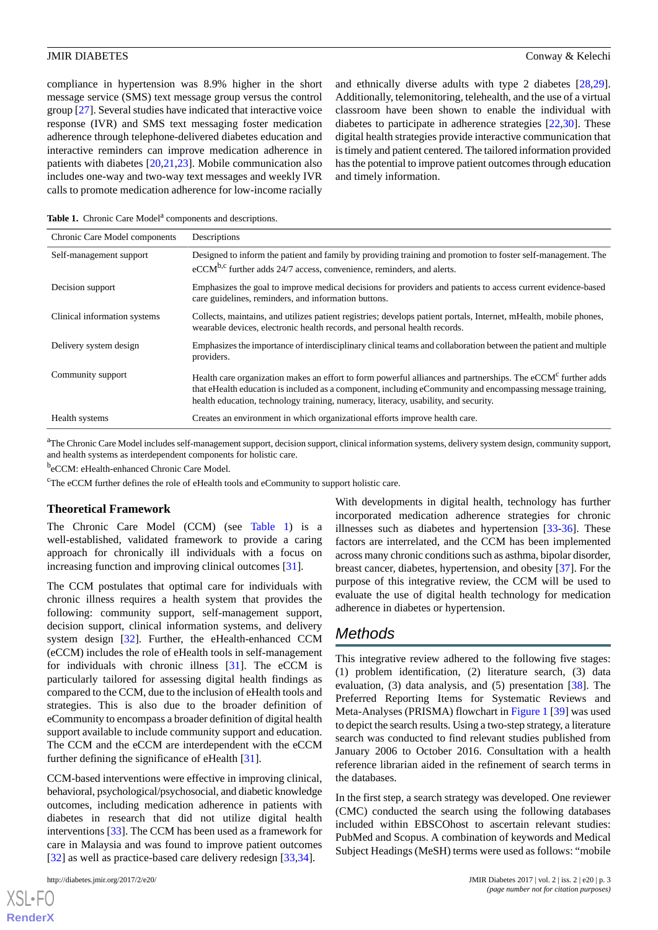compliance in hypertension was 8.9% higher in the short message service (SMS) text message group versus the control group [\[27](#page-11-3)]. Several studies have indicated that interactive voice response (IVR) and SMS text messaging foster medication adherence through telephone-delivered diabetes education and interactive reminders can improve medication adherence in patients with diabetes [[20,](#page-10-19)[21](#page-10-20)[,23](#page-11-0)]. Mobile communication also includes one-way and two-way text messages and weekly IVR calls to promote medication adherence for low-income racially

and ethnically diverse adults with type 2 diabetes [\[28](#page-11-4),[29\]](#page-11-5). Additionally, telemonitoring, telehealth, and the use of a virtual classroom have been shown to enable the individual with diabetes to participate in adherence strategies [[22,](#page-11-6)[30\]](#page-11-7). These digital health strategies provide interactive communication that is timely and patient centered. The tailored information provided has the potential to improve patient outcomes through education and timely information.

<span id="page-2-0"></span>Table 1. Chronic Care Model<sup>a</sup> components and descriptions.

| Chronic Care Model components | Descriptions                                                                                                                                                                                                                                                                                                                  |
|-------------------------------|-------------------------------------------------------------------------------------------------------------------------------------------------------------------------------------------------------------------------------------------------------------------------------------------------------------------------------|
| Self-management support       | Designed to inform the patient and family by providing training and promotion to foster self-management. The<br>$eCCM^{b,c}$ further adds 24/7 access, convenience, reminders, and alerts.                                                                                                                                    |
| Decision support              | Emphasizes the goal to improve medical decisions for providers and patients to access current evidence-based<br>care guidelines, reminders, and information buttons.                                                                                                                                                          |
| Clinical information systems  | Collects, maintains, and utilizes patient registries; develops patient portals, Internet, mHealth, mobile phones,<br>wearable devices, electronic health records, and personal health records.                                                                                                                                |
| Delivery system design        | Emphasizes the importance of interdisciplinary clinical teams and collaboration between the patient and multiple<br>providers.                                                                                                                                                                                                |
| Community support             | Health care organization makes an effort to form powerful alliances and partnerships. The eCCM <sup>c</sup> further adds<br>that eHealth education is included as a component, including eCommunity and encompassing message training,<br>health education, technology training, numeracy, literacy, usability, and security. |
| Health systems                | Creates an environment in which organizational efforts improve health care.                                                                                                                                                                                                                                                   |

<sup>a</sup>The Chronic Care Model includes self-management support, decision support, clinical information systems, delivery system design, community support, and health systems as interdependent components for holistic care.

beCCM: eHealth-enhanced Chronic Care Model.

<sup>c</sup>The eCCM further defines the role of eHealth tools and eCommunity to support holistic care.

#### **Theoretical Framework**

The Chronic Care Model (CCM) (see [Table 1\)](#page-2-0) is a well-established, validated framework to provide a caring approach for chronically ill individuals with a focus on increasing function and improving clinical outcomes [\[31](#page-11-8)].

The CCM postulates that optimal care for individuals with chronic illness requires a health system that provides the following: community support, self-management support, decision support, clinical information systems, and delivery system design [\[32](#page-11-9)]. Further, the eHealth-enhanced CCM (eCCM) includes the role of eHealth tools in self-management for individuals with chronic illness [[31\]](#page-11-8). The eCCM is particularly tailored for assessing digital health findings as compared to the CCM, due to the inclusion of eHealth tools and strategies. This is also due to the broader definition of eCommunity to encompass a broader definition of digital health support available to include community support and education. The CCM and the eCCM are interdependent with the eCCM further defining the significance of eHealth [[31\]](#page-11-8).

CCM-based interventions were effective in improving clinical, behavioral, psychological/psychosocial, and diabetic knowledge outcomes, including medication adherence in patients with diabetes in research that did not utilize digital health interventions [\[33](#page-11-10)]. The CCM has been used as a framework for care in Malaysia and was found to improve patient outcomes [[32\]](#page-11-9) as well as practice-based care delivery redesign [\[33](#page-11-10),[34\]](#page-11-11).

 $XS$ -FO **[RenderX](http://www.renderx.com/)** With developments in digital health, technology has further incorporated medication adherence strategies for chronic illnesses such as diabetes and hypertension [[33](#page-11-10)[-36](#page-11-12)]. These factors are interrelated, and the CCM has been implemented across many chronic conditions such as asthma, bipolar disorder, breast cancer, diabetes, hypertension, and obesity [\[37](#page-11-13)]. For the purpose of this integrative review, the CCM will be used to evaluate the use of digital health technology for medication adherence in diabetes or hypertension.

### *Methods*

This integrative review adhered to the following five stages: (1) problem identification, (2) literature search, (3) data evaluation, (3) data analysis, and (5) presentation [\[38](#page-11-14)]. The Preferred Reporting Items for Systematic Reviews and Meta-Analyses (PRISMA) flowchart in [Figure 1](#page-3-0) [\[39](#page-11-15)] was used to depict the search results. Using a two-step strategy, a literature search was conducted to find relevant studies published from January 2006 to October 2016. Consultation with a health reference librarian aided in the refinement of search terms in the databases.

In the first step, a search strategy was developed. One reviewer (CMC) conducted the search using the following databases included within EBSCOhost to ascertain relevant studies: PubMed and Scopus. A combination of keywords and Medical Subject Headings (MeSH) terms were used as follows: "mobile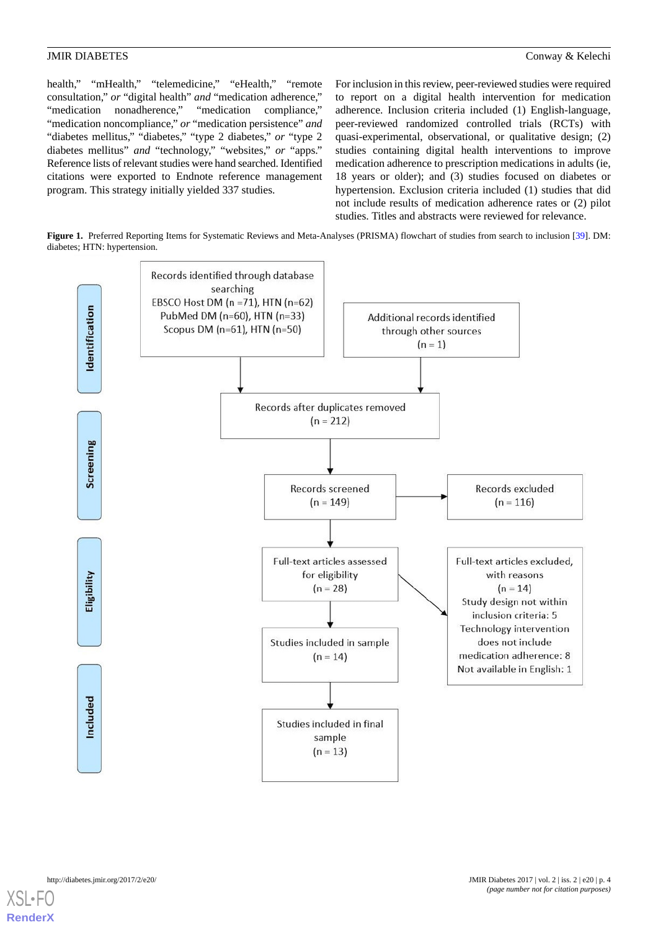health," "mHealth," "telemedicine," "eHealth," "remote consultation," *or* "digital health" *and* "medication adherence," "medication nonadherence," "medication compliance," "medication noncompliance," *or* "medication persistence" *and* "diabetes mellitus," "diabetes," "type 2 diabetes," *or* "type 2 diabetes mellitus" *and* "technology," "websites," *or* "apps." Reference lists of relevant studies were hand searched. Identified citations were exported to Endnote reference management program. This strategy initially yielded 337 studies.

For inclusion in this review, peer-reviewed studies were required to report on a digital health intervention for medication adherence. Inclusion criteria included (1) English-language, peer-reviewed randomized controlled trials (RCTs) with quasi-experimental, observational, or qualitative design; (2) studies containing digital health interventions to improve medication adherence to prescription medications in adults (ie, 18 years or older); and (3) studies focused on diabetes or hypertension. Exclusion criteria included (1) studies that did not include results of medication adherence rates or (2) pilot studies. Titles and abstracts were reviewed for relevance.

<span id="page-3-0"></span>**Figure 1.** Preferred Reporting Items for Systematic Reviews and Meta-Analyses (PRISMA) flowchart of studies from search to inclusion [[39](#page-11-15)]. DM: diabetes; HTN: hypertension.

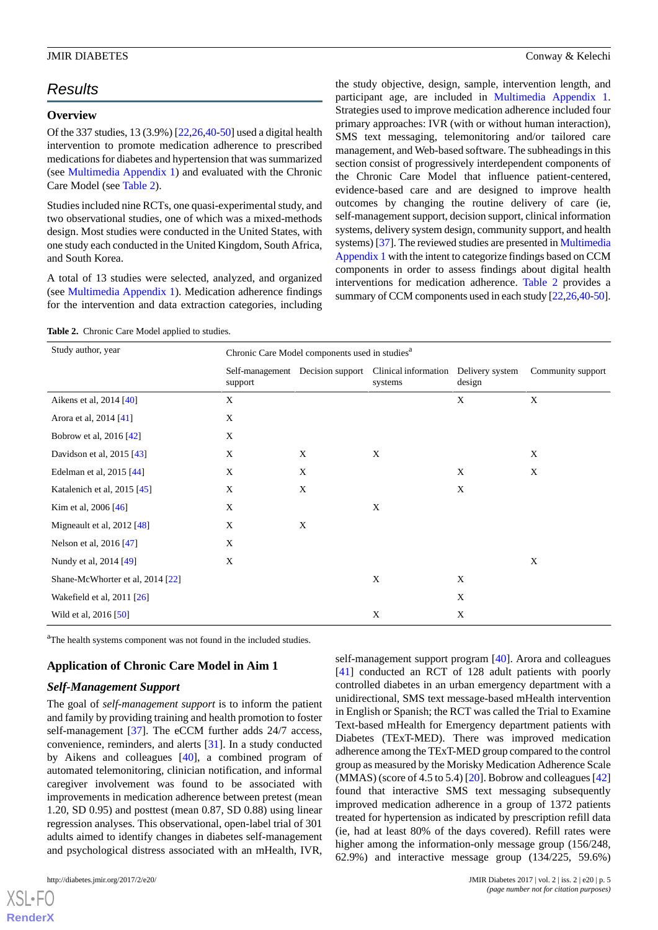# *Results*

#### **Overview**

Of the 337 studies, 13 (3.9%) [\[22](#page-11-6),[26,](#page-11-2)[40](#page-11-16)[-50\]](#page-12-0) used a digital health intervention to promote medication adherence to prescribed medications for diabetes and hypertension that was summarized (see [Multimedia Appendix 1\)](#page-10-21) and evaluated with the Chronic Care Model (see [Table 2\)](#page-4-0).

Studies included nine RCTs, one quasi-experimental study, and two observational studies, one of which was a mixed-methods design. Most studies were conducted in the United States, with one study each conducted in the United Kingdom, South Africa, and South Korea.

<span id="page-4-0"></span>A total of 13 studies were selected, analyzed, and organized (see [Multimedia Appendix 1](#page-10-21)). Medication adherence findings for the intervention and data extraction categories, including the study objective, design, sample, intervention length, and participant age, are included in [Multimedia Appendix 1](#page-10-21). Strategies used to improve medication adherence included four primary approaches: IVR (with or without human interaction), SMS text messaging, telemonitoring and/or tailored care management, and Web-based software. The subheadings in this section consist of progressively interdependent components of the Chronic Care Model that influence patient-centered, evidence-based care and are designed to improve health outcomes by changing the routine delivery of care (ie, self-management support, decision support, clinical information systems, delivery system design, community support, and health systems) [\[37\]](#page-11-13). The reviewed studies are presented in [Multimedia](#page-10-21) [Appendix 1](#page-10-21) with the intent to categorize findings based on CCM components in order to assess findings about digital health interventions for medication adherence. [Table 2](#page-4-0) provides a summary of CCM components used in each study  $[22,26,40-50]$  $[22,26,40-50]$  $[22,26,40-50]$  $[22,26,40-50]$  $[22,26,40-50]$ .

**Table 2.** Chronic Care Model applied to studies.

| Study author, year               | Chronic Care Model components used in studies <sup>a</sup> |   |                                                                                  |        |                   |
|----------------------------------|------------------------------------------------------------|---|----------------------------------------------------------------------------------|--------|-------------------|
|                                  | support                                                    |   | Self-management Decision support Clinical information Delivery system<br>systems | design | Community support |
| Aikens et al, 2014 [40]          | X                                                          |   |                                                                                  | X      | X                 |
| Arora et al, 2014 [41]           | X                                                          |   |                                                                                  |        |                   |
| Bobrow et al, 2016 [42]          | X                                                          |   |                                                                                  |        |                   |
| Davidson et al, 2015 [43]        | X                                                          | X | X                                                                                |        | X                 |
| Edelman et al, 2015 [44]         | X                                                          | X |                                                                                  | X      | X                 |
| Katalenich et al, 2015 [45]      | X                                                          | X |                                                                                  | X      |                   |
| Kim et al, $2006$ [46]           | X                                                          |   | X                                                                                |        |                   |
| Migneault et al, $2012$ [48]     | X                                                          | X |                                                                                  |        |                   |
| Nelson et al, 2016 [47]          | X                                                          |   |                                                                                  |        |                   |
| Nundy et al, 2014 [49]           | X                                                          |   |                                                                                  |        | X                 |
| Shane-McWhorter et al, 2014 [22] |                                                            |   | X                                                                                | X      |                   |
| Wakefield et al, 2011 [26]       |                                                            |   |                                                                                  | X      |                   |
| Wild et al, 2016 [50]            |                                                            |   | X                                                                                | X      |                   |

<sup>a</sup>The health systems component was not found in the included studies.

### **Application of Chronic Care Model in Aim 1**

### *Self-Management Support*

The goal of *self-management support* is to inform the patient and family by providing training and health promotion to foster self-management [[37\]](#page-11-13). The eCCM further adds 24/7 access, convenience, reminders, and alerts [\[31](#page-11-8)]. In a study conducted by Aikens and colleagues [\[40](#page-11-16)], a combined program of automated telemonitoring, clinician notification, and informal caregiver involvement was found to be associated with improvements in medication adherence between pretest (mean 1.20, SD 0.95) and posttest (mean 0.87, SD 0.88) using linear regression analyses. This observational, open-label trial of 301 adults aimed to identify changes in diabetes self-management and psychological distress associated with an mHealth, IVR,

[XSL](http://www.w3.org/Style/XSL)•FO **[RenderX](http://www.renderx.com/)**

self-management support program [\[40](#page-11-16)]. Arora and colleagues [[41\]](#page-11-17) conducted an RCT of 128 adult patients with poorly controlled diabetes in an urban emergency department with a unidirectional, SMS text message-based mHealth intervention in English or Spanish; the RCT was called the Trial to Examine Text-based mHealth for Emergency department patients with Diabetes (TExT-MED). There was improved medication adherence among the TExT-MED group compared to the control group as measured by the Morisky Medication Adherence Scale (MMAS) (score of 4.5 to 5.4) [\[20](#page-10-19)]. Bobrow and colleagues [\[42](#page-11-18)] found that interactive SMS text messaging subsequently improved medication adherence in a group of 1372 patients treated for hypertension as indicated by prescription refill data (ie, had at least 80% of the days covered). Refill rates were higher among the information-only message group (156/248, 62.9%) and interactive message group (134/225, 59.6%)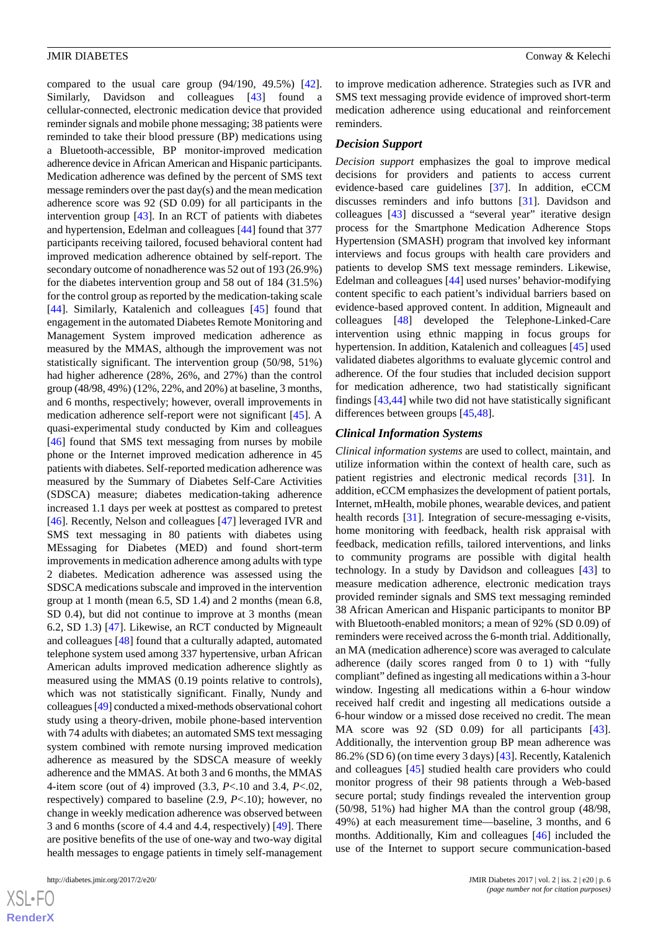compared to the usual care group (94/190, 49.5%) [[42\]](#page-11-18). Similarly, Davidson and colleagues [[43\]](#page-12-1) found a cellular-connected, electronic medication device that provided reminder signals and mobile phone messaging; 38 patients were reminded to take their blood pressure (BP) medications using a Bluetooth-accessible, BP monitor-improved medication adherence device in African American and Hispanic participants. Medication adherence was defined by the percent of SMS text message reminders over the past day(s) and the mean medication adherence score was 92 (SD 0.09) for all participants in the intervention group [\[43](#page-12-1)]. In an RCT of patients with diabetes and hypertension, Edelman and colleagues [\[44](#page-12-2)] found that 377 participants receiving tailored, focused behavioral content had improved medication adherence obtained by self-report. The secondary outcome of nonadherence was 52 out of 193 (26.9%) for the diabetes intervention group and 58 out of 184 (31.5%) for the control group as reported by the medication-taking scale [[44\]](#page-12-2). Similarly, Katalenich and colleagues [[45\]](#page-12-3) found that engagement in the automated Diabetes Remote Monitoring and Management System improved medication adherence as measured by the MMAS, although the improvement was not statistically significant. The intervention group (50/98, 51%) had higher adherence (28%, 26%, and 27%) than the control group (48/98, 49%) (12%, 22%, and 20%) at baseline, 3 months, and 6 months, respectively; however, overall improvements in medication adherence self-report were not significant [[45\]](#page-12-3). A quasi-experimental study conducted by Kim and colleagues [[46\]](#page-12-4) found that SMS text messaging from nurses by mobile phone or the Internet improved medication adherence in 45 patients with diabetes. Self-reported medication adherence was measured by the Summary of Diabetes Self-Care Activities (SDSCA) measure; diabetes medication-taking adherence increased 1.1 days per week at posttest as compared to pretest [[46\]](#page-12-4). Recently, Nelson and colleagues [\[47](#page-12-6)] leveraged IVR and SMS text messaging in 80 patients with diabetes using MEssaging for Diabetes (MED) and found short-term improvements in medication adherence among adults with type 2 diabetes. Medication adherence was assessed using the SDSCA medications subscale and improved in the intervention group at 1 month (mean 6.5, SD 1.4) and 2 months (mean 6.8, SD 0.4), but did not continue to improve at 3 months (mean 6.2, SD 1.3) [\[47](#page-12-6)]. Likewise, an RCT conducted by Migneault and colleagues [\[48](#page-12-5)] found that a culturally adapted, automated telephone system used among 337 hypertensive, urban African American adults improved medication adherence slightly as measured using the MMAS (0.19 points relative to controls), which was not statistically significant. Finally, Nundy and colleagues [\[49](#page-12-7)] conducted a mixed-methods observational cohort study using a theory-driven, mobile phone-based intervention with 74 adults with diabetes; an automated SMS text messaging system combined with remote nursing improved medication adherence as measured by the SDSCA measure of weekly adherence and the MMAS. At both 3 and 6 months, the MMAS 4-item score (out of 4) improved (3.3, *P*<.10 and 3.4, *P*<.02, respectively) compared to baseline (2.9, *P*<.10); however, no change in weekly medication adherence was observed between 3 and 6 months (score of 4.4 and 4.4, respectively) [\[49](#page-12-7)]. There are positive benefits of the use of one-way and two-way digital health messages to engage patients in timely self-management

 $XS$ -FO **[RenderX](http://www.renderx.com/)**

to improve medication adherence. Strategies such as IVR and SMS text messaging provide evidence of improved short-term medication adherence using educational and reinforcement reminders.

#### *Decision Support*

*Decision support* emphasizes the goal to improve medical decisions for providers and patients to access current evidence-based care guidelines [\[37](#page-11-13)]. In addition, eCCM discusses reminders and info buttons [[31\]](#page-11-8). Davidson and colleagues [\[43](#page-12-1)] discussed a "several year" iterative design process for the Smartphone Medication Adherence Stops Hypertension (SMASH) program that involved key informant interviews and focus groups with health care providers and patients to develop SMS text message reminders. Likewise, Edelman and colleagues [\[44](#page-12-2)] used nurses' behavior-modifying content specific to each patient's individual barriers based on evidence-based approved content. In addition, Migneault and colleagues [[48\]](#page-12-5) developed the Telephone-Linked-Care intervention using ethnic mapping in focus groups for hypertension. In addition, Katalenich and colleagues [[45\]](#page-12-3) used validated diabetes algorithms to evaluate glycemic control and adherence. Of the four studies that included decision support for medication adherence, two had statistically significant findings [[43](#page-12-1)[,44](#page-12-2)] while two did not have statistically significant differences between groups [\[45](#page-12-3),[48\]](#page-12-5).

#### *Clinical Information Systems*

*Clinical information systems* are used to collect, maintain, and utilize information within the context of health care, such as patient registries and electronic medical records [\[31](#page-11-8)]. In addition, eCCM emphasizes the development of patient portals, Internet, mHealth, mobile phones, wearable devices, and patient health records [\[31](#page-11-8)]. Integration of secure-messaging e-visits, home monitoring with feedback, health risk appraisal with feedback, medication refills, tailored interventions, and links to community programs are possible with digital health technology. In a study by Davidson and colleagues [\[43](#page-12-1)] to measure medication adherence, electronic medication trays provided reminder signals and SMS text messaging reminded 38 African American and Hispanic participants to monitor BP with Bluetooth-enabled monitors; a mean of 92% (SD 0.09) of reminders were received across the 6-month trial. Additionally, an MA (medication adherence) score was averaged to calculate adherence (daily scores ranged from 0 to 1) with "fully compliant" defined as ingesting all medications within a 3-hour window. Ingesting all medications within a 6-hour window received half credit and ingesting all medications outside a 6-hour window or a missed dose received no credit. The mean MA score was 92 (SD 0.09) for all participants [[43\]](#page-12-1). Additionally, the intervention group BP mean adherence was 86.2% (SD 6) (on time every 3 days) [\[43](#page-12-1)]. Recently, Katalenich and colleagues [[45\]](#page-12-3) studied health care providers who could monitor progress of their 98 patients through a Web-based secure portal; study findings revealed the intervention group (50/98, 51%) had higher MA than the control group (48/98, 49%) at each measurement time—baseline, 3 months, and 6 months. Additionally, Kim and colleagues [\[46](#page-12-4)] included the use of the Internet to support secure communication-based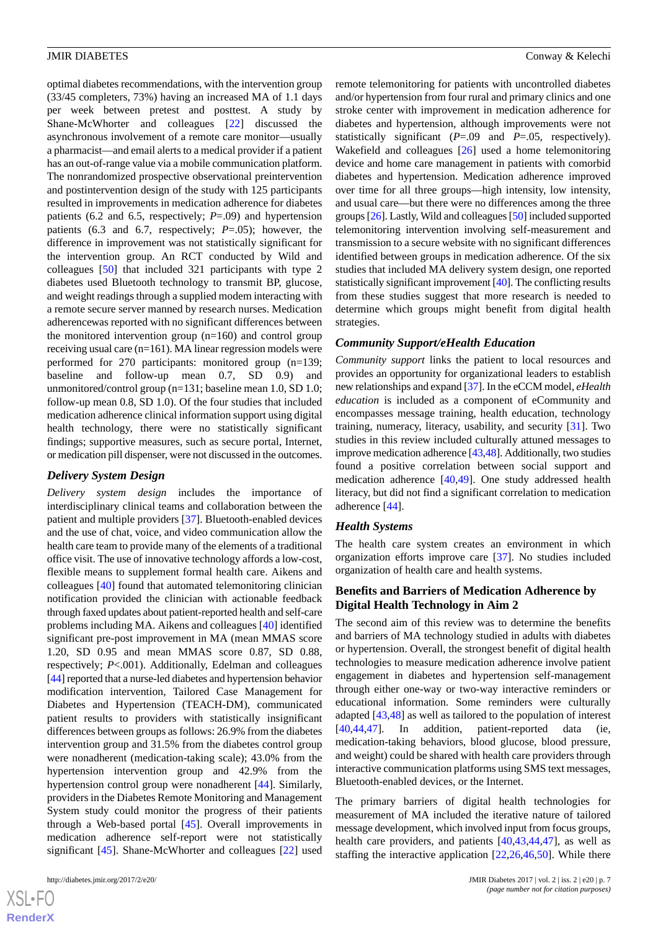optimal diabetes recommendations, with the intervention group (33/45 completers, 73%) having an increased MA of 1.1 days per week between pretest and posttest. A study by Shane-McWhorter and colleagues [\[22](#page-11-6)] discussed the asynchronous involvement of a remote care monitor—usually a pharmacist—and email alerts to a medical provider if a patient has an out-of-range value via a mobile communication platform. The nonrandomized prospective observational preintervention and postintervention design of the study with 125 participants resulted in improvements in medication adherence for diabetes patients (6.2 and 6.5, respectively; *P*=.09) and hypertension patients (6.3 and 6.7, respectively; *P*=.05); however, the difference in improvement was not statistically significant for the intervention group. An RCT conducted by Wild and colleagues [[50\]](#page-12-0) that included 321 participants with type 2 diabetes used Bluetooth technology to transmit BP, glucose, and weight readings through a supplied modem interacting with a remote secure server manned by research nurses. Medication adherencewas reported with no significant differences between the monitored intervention group (n=160) and control group receiving usual care (n=161). MA linear regression models were performed for 270 participants: monitored group (n=139; baseline and follow-up mean 0.7, SD 0.9) and unmonitored/control group (n=131; baseline mean 1.0, SD 1.0; follow-up mean 0.8, SD 1.0). Of the four studies that included medication adherence clinical information support using digital health technology, there were no statistically significant findings; supportive measures, such as secure portal, Internet, or medication pill dispenser, were not discussed in the outcomes.

### *Delivery System Design*

*Delivery system design* includes the importance of interdisciplinary clinical teams and collaboration between the patient and multiple providers [[37\]](#page-11-13). Bluetooth-enabled devices and the use of chat, voice, and video communication allow the health care team to provide many of the elements of a traditional office visit. The use of innovative technology affords a low-cost, flexible means to supplement formal health care. Aikens and colleagues [[40\]](#page-11-16) found that automated telemonitoring clinician notification provided the clinician with actionable feedback through faxed updates about patient-reported health and self-care problems including MA. Aikens and colleagues [[40\]](#page-11-16) identified significant pre-post improvement in MA (mean MMAS score 1.20, SD 0.95 and mean MMAS score 0.87, SD 0.88, respectively; *P*<.001). Additionally, Edelman and colleagues [[44\]](#page-12-2) reported that a nurse-led diabetes and hypertension behavior modification intervention, Tailored Case Management for Diabetes and Hypertension (TEACH-DM), communicated patient results to providers with statistically insignificant differences between groups as follows: 26.9% from the diabetes intervention group and 31.5% from the diabetes control group were nonadherent (medication-taking scale); 43.0% from the hypertension intervention group and 42.9% from the hypertension control group were nonadherent [[44\]](#page-12-2). Similarly, providers in the Diabetes Remote Monitoring and Management System study could monitor the progress of their patients through a Web-based portal [\[45](#page-12-3)]. Overall improvements in medication adherence self-report were not statistically significant [[45\]](#page-12-3). Shane-McWhorter and colleagues [\[22](#page-11-6)] used

 $XS$ -FO **[RenderX](http://www.renderx.com/)** remote telemonitoring for patients with uncontrolled diabetes and/or hypertension from four rural and primary clinics and one stroke center with improvement in medication adherence for diabetes and hypertension, although improvements were not statistically significant (*P*=.09 and *P*=.05, respectively). Wakefield and colleagues [[26\]](#page-11-2) used a home telemonitoring device and home care management in patients with comorbid diabetes and hypertension. Medication adherence improved over time for all three groups—high intensity, low intensity, and usual care—but there were no differences among the three groups [\[26](#page-11-2)]. Lastly, Wild and colleagues [[50\]](#page-12-0) included supported telemonitoring intervention involving self-measurement and transmission to a secure website with no significant differences identified between groups in medication adherence. Of the six studies that included MA delivery system design, one reported statistically significant improvement [\[40\]](#page-11-16). The conflicting results from these studies suggest that more research is needed to determine which groups might benefit from digital health strategies.

### *Community Support/eHealth Education*

*Community support* links the patient to local resources and provides an opportunity for organizational leaders to establish new relationships and expand [\[37\]](#page-11-13). In the eCCM model, *eHealth education* is included as a component of eCommunity and encompasses message training, health education, technology training, numeracy, literacy, usability, and security [\[31](#page-11-8)]. Two studies in this review included culturally attuned messages to improve medication adherence [\[43](#page-12-1)[,48](#page-12-5)]. Additionally, two studies found a positive correlation between social support and medication adherence [\[40](#page-11-16)[,49](#page-12-7)]. One study addressed health literacy, but did not find a significant correlation to medication adherence [[44\]](#page-12-2).

### *Health Systems*

The health care system creates an environment in which organization efforts improve care [[37\]](#page-11-13). No studies included organization of health care and health systems.

### **Benefits and Barriers of Medication Adherence by Digital Health Technology in Aim 2**

The second aim of this review was to determine the benefits and barriers of MA technology studied in adults with diabetes or hypertension. Overall, the strongest benefit of digital health technologies to measure medication adherence involve patient engagement in diabetes and hypertension self-management through either one-way or two-way interactive reminders or educational information. Some reminders were culturally adapted [\[43](#page-12-1),[48\]](#page-12-5) as well as tailored to the population of interest [[40,](#page-11-16)[44,](#page-12-2)[47\]](#page-12-6). In addition, patient-reported data (ie, medication-taking behaviors, blood glucose, blood pressure, and weight) could be shared with health care providers through interactive communication platforms using SMS text messages, Bluetooth-enabled devices, or the Internet.

The primary barriers of digital health technologies for measurement of MA included the iterative nature of tailored message development, which involved input from focus groups, health care providers, and patients [[40,](#page-11-16)[43](#page-12-1),[44,](#page-12-2)[47](#page-12-6)], as well as staffing the interactive application [\[22](#page-11-6)[,26](#page-11-2),[46,](#page-12-4)[50](#page-12-0)]. While there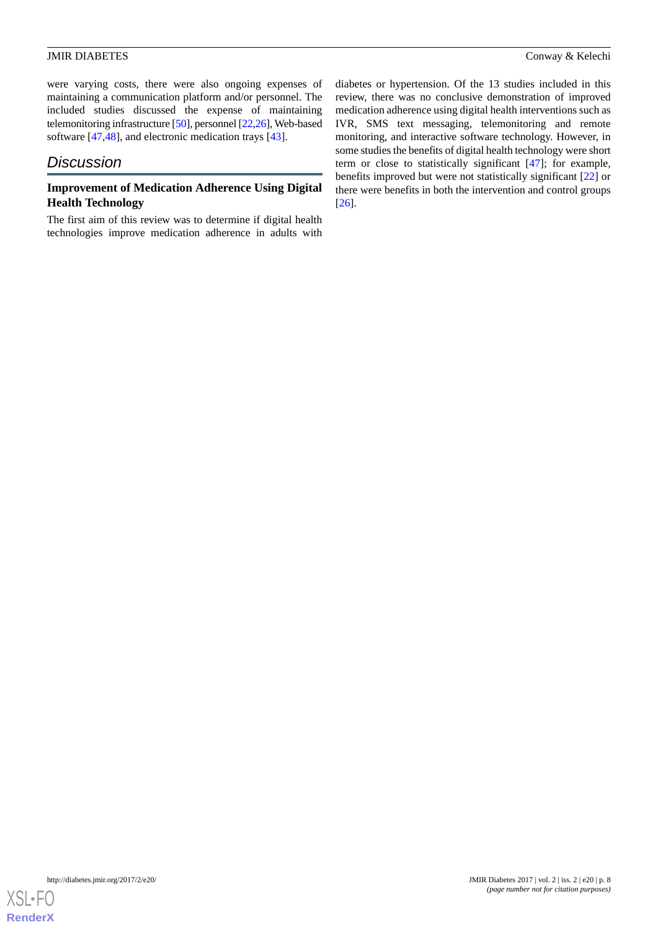were varying costs, there were also ongoing expenses of maintaining a communication platform and/or personnel. The included studies discussed the expense of maintaining telemonitoring infrastructure [\[50\]](#page-12-0), personnel [\[22](#page-11-6)[,26\]](#page-11-2), Web-based software [[47,](#page-12-6)[48](#page-12-5)], and electronic medication trays [[43\]](#page-12-1).

# *Discussion*

### **Improvement of Medication Adherence Using Digital Health Technology**

The first aim of this review was to determine if digital health technologies improve medication adherence in adults with

diabetes or hypertension. Of the 13 studies included in this review, there was no conclusive demonstration of improved medication adherence using digital health interventions such as IVR, SMS text messaging, telemonitoring and remote monitoring, and interactive software technology. However, in some studies the benefits of digital health technology were short term or close to statistically significant [[47\]](#page-12-6); for example, benefits improved but were not statistically significant [\[22](#page-11-6)] or there were benefits in both the intervention and control groups [[26\]](#page-11-2).

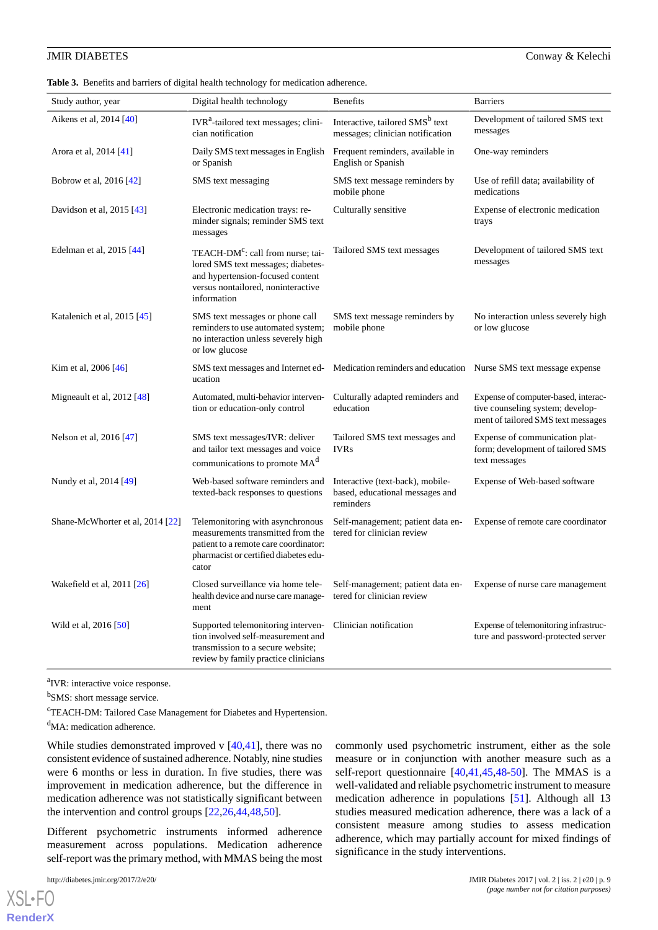<span id="page-8-0"></span>**Table 3.** Benefits and barriers of digital health technology for medication adherence.

| Study author, year               | Digital health technology                                                                                                                                                    | <b>Benefits</b>                                                                  | <b>Barriers</b>                                                                                               |
|----------------------------------|------------------------------------------------------------------------------------------------------------------------------------------------------------------------------|----------------------------------------------------------------------------------|---------------------------------------------------------------------------------------------------------------|
| Aikens et al, 2014 [40]          | IVR <sup>a</sup> -tailored text messages; clini-<br>cian notification                                                                                                        | Interactive, tailored SMS <sup>b</sup> text<br>messages; clinician notification  | Development of tailored SMS text<br>messages                                                                  |
| Arora et al, 2014 [41]           | Daily SMS text messages in English<br>or Spanish                                                                                                                             | Frequent reminders, available in<br>English or Spanish                           | One-way reminders                                                                                             |
| Bobrow et al, 2016 [42]          | SMS text messaging                                                                                                                                                           | SMS text message reminders by<br>mobile phone                                    | Use of refill data; availability of<br>medications                                                            |
| Davidson et al, 2015 [43]        | Electronic medication trays: re-<br>minder signals; reminder SMS text<br>messages                                                                                            | Culturally sensitive                                                             | Expense of electronic medication<br>trays                                                                     |
| Edelman et al, 2015 [44]         | TEACH-DM <sup>c</sup> : call from nurse; tai-<br>lored SMS text messages; diabetes-<br>and hypertension-focused content<br>versus nontailored, noninteractive<br>information | Tailored SMS text messages                                                       | Development of tailored SMS text<br>messages                                                                  |
| Katalenich et al, 2015 [45]      | SMS text messages or phone call<br>reminders to use automated system;<br>no interaction unless severely high<br>or low glucose                                               | SMS text message reminders by<br>mobile phone                                    | No interaction unless severely high<br>or low glucose                                                         |
| Kim et al, 2006 [46]             | SMS text messages and Internet ed-<br>ucation                                                                                                                                | Medication reminders and education Nurse SMS text message expense                |                                                                                                               |
| Migneault et al, $2012$ [48]     | Automated, multi-behavior interven-<br>tion or education-only control                                                                                                        | Culturally adapted reminders and<br>education                                    | Expense of computer-based, interac-<br>tive counseling system; develop-<br>ment of tailored SMS text messages |
| Nelson et al, 2016 [47]          | SMS text messages/IVR: deliver<br>and tailor text messages and voice<br>communications to promote MA <sup>d</sup>                                                            | Tailored SMS text messages and<br><b>IVRs</b>                                    | Expense of communication plat-<br>form; development of tailored SMS<br>text messages                          |
| Nundy et al, 2014 [49]           | Web-based software reminders and<br>texted-back responses to questions                                                                                                       | Interactive (text-back), mobile-<br>based, educational messages and<br>reminders | Expense of Web-based software                                                                                 |
| Shane-McWhorter et al, 2014 [22] | Telemonitoring with asynchronous<br>measurements transmitted from the<br>patient to a remote care coordinator:<br>pharmacist or certified diabetes edu-<br>cator             | Self-management; patient data en-<br>tered for clinician review                  | Expense of remote care coordinator                                                                            |
| Wakefield et al, 2011 [26]       | Closed surveillance via home tele-<br>health device and nurse care manage-<br>ment                                                                                           | Self-management; patient data en-<br>tered for clinician review                  | Expense of nurse care management                                                                              |
| Wild et al, 2016 [50]            | Supported telemonitoring interven-<br>tion involved self-measurement and<br>transmission to a secure website;<br>review by family practice clinicians                        | Clinician notification                                                           | Expense of telemonitoring infrastruc-<br>ture and password-protected server                                   |

<sup>a</sup>IVR: interactive voice response.

<sup>b</sup>SMS: short message service.

<sup>c</sup>TEACH-DM: Tailored Case Management for Diabetes and Hypertension.

<sup>d</sup>MA: medication adherence.

While studies demonstrated improved v [\[40](#page-11-16),[41\]](#page-11-17), there was no consistent evidence of sustained adherence. Notably, nine studies were 6 months or less in duration. In five studies, there was improvement in medication adherence, but the difference in medication adherence was not statistically significant between the intervention and control groups [[22,](#page-11-6)[26](#page-11-2),[44,](#page-12-2)[48](#page-12-5),[50\]](#page-12-0).

Different psychometric instruments informed adherence measurement across populations. Medication adherence self-report was the primary method, with MMAS being the most

[XSL](http://www.w3.org/Style/XSL)•FO **[RenderX](http://www.renderx.com/)** commonly used psychometric instrument, either as the sole measure or in conjunction with another measure such as a self-report questionnaire [\[40](#page-11-16),[41](#page-11-17)[,45](#page-12-3),[48-](#page-12-5)[50](#page-12-0)]. The MMAS is a well-validated and reliable psychometric instrument to measure medication adherence in populations [\[51](#page-12-8)]. Although all 13 studies measured medication adherence, there was a lack of a consistent measure among studies to assess medication adherence, which may partially account for mixed findings of significance in the study interventions.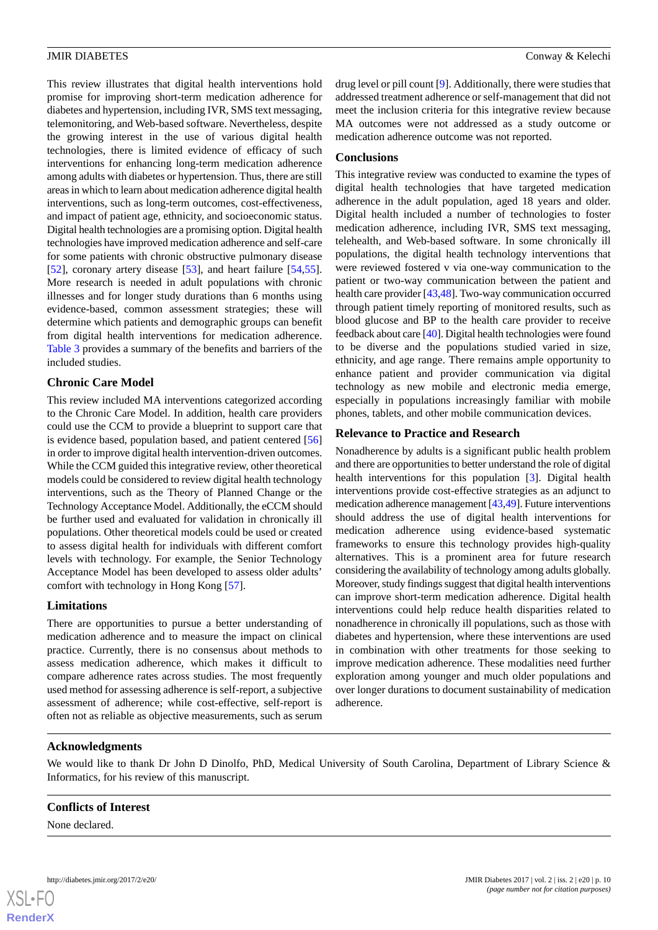This review illustrates that digital health interventions hold promise for improving short-term medication adherence for diabetes and hypertension, including IVR, SMS text messaging, telemonitoring, and Web-based software. Nevertheless, despite the growing interest in the use of various digital health technologies, there is limited evidence of efficacy of such interventions for enhancing long-term medication adherence among adults with diabetes or hypertension. Thus, there are still areas in which to learn about medication adherence digital health interventions, such as long-term outcomes, cost-effectiveness, and impact of patient age, ethnicity, and socioeconomic status. Digital health technologies are a promising option. Digital health technologies have improved medication adherence and self-care for some patients with chronic obstructive pulmonary disease [[52\]](#page-12-9), coronary artery disease [\[53](#page-12-10)], and heart failure [\[54](#page-12-11),[55\]](#page-12-12). More research is needed in adult populations with chronic illnesses and for longer study durations than 6 months using evidence-based, common assessment strategies; these will determine which patients and demographic groups can benefit from digital health interventions for medication adherence. [Table 3](#page-8-0) provides a summary of the benefits and barriers of the

#### **Chronic Care Model**

included studies.

This review included MA interventions categorized according to the Chronic Care Model. In addition, health care providers could use the CCM to provide a blueprint to support care that is evidence based, population based, and patient centered [\[56](#page-12-13)] in order to improve digital health intervention-driven outcomes. While the CCM guided this integrative review, other theoretical models could be considered to review digital health technology interventions, such as the Theory of Planned Change or the Technology Acceptance Model. Additionally, the eCCM should be further used and evaluated for validation in chronically ill populations. Other theoretical models could be used or created to assess digital health for individuals with different comfort levels with technology. For example, the Senior Technology Acceptance Model has been developed to assess older adults' comfort with technology in Hong Kong [[57\]](#page-12-14).

### **Limitations**

There are opportunities to pursue a better understanding of medication adherence and to measure the impact on clinical practice. Currently, there is no consensus about methods to assess medication adherence, which makes it difficult to compare adherence rates across studies. The most frequently used method for assessing adherence is self-report, a subjective assessment of adherence; while cost-effective, self-report is often not as reliable as objective measurements, such as serum

drug level or pill count [[9\]](#page-10-8). Additionally, there were studies that addressed treatment adherence or self-management that did not meet the inclusion criteria for this integrative review because MA outcomes were not addressed as a study outcome or medication adherence outcome was not reported.

#### **Conclusions**

This integrative review was conducted to examine the types of digital health technologies that have targeted medication adherence in the adult population, aged 18 years and older. Digital health included a number of technologies to foster medication adherence, including IVR, SMS text messaging, telehealth, and Web-based software. In some chronically ill populations, the digital health technology interventions that were reviewed fostered v via one-way communication to the patient or two-way communication between the patient and health care provider [\[43](#page-12-1),[48](#page-12-5)]. Two-way communication occurred through patient timely reporting of monitored results, such as blood glucose and BP to the health care provider to receive feedback about care [[40\]](#page-11-16). Digital health technologies were found to be diverse and the populations studied varied in size, ethnicity, and age range. There remains ample opportunity to enhance patient and provider communication via digital technology as new mobile and electronic media emerge, especially in populations increasingly familiar with mobile phones, tablets, and other mobile communication devices.

### **Relevance to Practice and Research**

Nonadherence by adults is a significant public health problem and there are opportunities to better understand the role of digital health interventions for this population [\[3](#page-10-2)]. Digital health interventions provide cost-effective strategies as an adjunct to medication adherence management [\[43](#page-12-1),[49](#page-12-7)]. Future interventions should address the use of digital health interventions for medication adherence using evidence-based systematic frameworks to ensure this technology provides high-quality alternatives. This is a prominent area for future research considering the availability of technology among adults globally. Moreover, study findings suggest that digital health interventions can improve short-term medication adherence. Digital health interventions could help reduce health disparities related to nonadherence in chronically ill populations, such as those with diabetes and hypertension, where these interventions are used in combination with other treatments for those seeking to improve medication adherence. These modalities need further exploration among younger and much older populations and over longer durations to document sustainability of medication adherence.

### **Acknowledgments**

We would like to thank Dr John D Dinolfo, PhD, Medical University of South Carolina, Department of Library Science & Informatics, for his review of this manuscript.

### **Conflicts of Interest**

None declared.

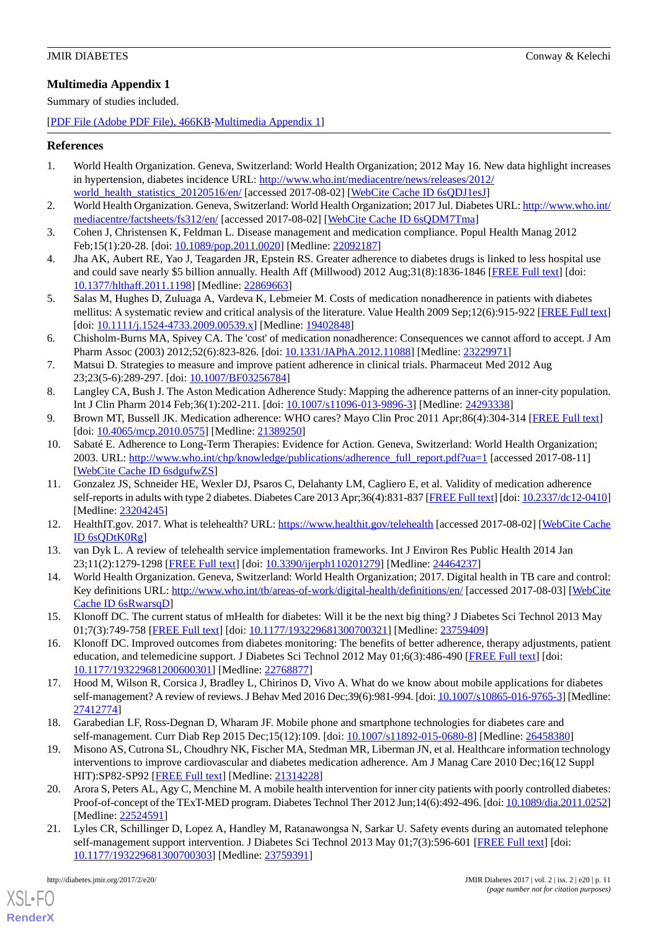### <span id="page-10-21"></span>**Multimedia Appendix 1**

Summary of studies included.

[[PDF File \(Adobe PDF File\), 466KB-Multimedia Appendix 1](https://jmir.org/api/download?alt_name=diabetes_v2i2e20_app1.pdf&filename=84b697eb0ed9a408be706dd286fa8af2.pdf)]

#### <span id="page-10-0"></span>**References**

- 1. World Health Organization. Geneva, Switzerland: World Health Organization; 2012 May 16. New data highlight increases in hypertension, diabetes incidence URL: [http://www.who.int/mediacentre/news/releases/2012/](http://www.who.int/mediacentre/news/releases/2012/world_health_statistics_20120516/en/) [world\\_health\\_statistics\\_20120516/en/](http://www.who.int/mediacentre/news/releases/2012/world_health_statistics_20120516/en/) [accessed 2017-08-02] [[WebCite Cache ID 6sQDJ1esJ](http://www.webcitation.org/

                                6sQDJ1esJ)]
- <span id="page-10-2"></span><span id="page-10-1"></span>2. World Health Organization. Geneva, Switzerland: World Health Organization; 2017 Jul. Diabetes URL: [http://www.who.int/](http://www.who.int/mediacentre/factsheets/fs312/en/) [mediacentre/factsheets/fs312/en/](http://www.who.int/mediacentre/factsheets/fs312/en/) [accessed 2017-08-02] [[WebCite Cache ID 6sQDM7Tma\]](http://www.webcitation.org/

                                6sQDM7Tma)
- <span id="page-10-3"></span>3. Cohen J, Christensen K, Feldman L. Disease management and medication compliance. Popul Health Manag 2012 Feb;15(1):20-28. [doi: [10.1089/pop.2011.0020\]](http://dx.doi.org/10.1089/pop.2011.0020) [Medline: [22092187\]](http://www.ncbi.nlm.nih.gov/entrez/query.fcgi?cmd=Retrieve&db=PubMed&list_uids=22092187&dopt=Abstract)
- <span id="page-10-4"></span>4. Jha AK, Aubert RE, Yao J, Teagarden JR, Epstein RS. Greater adherence to diabetes drugs is linked to less hospital use and could save nearly \$5 billion annually. Health Aff (Millwood) 2012 Aug;31(8):1836-1846 [\[FREE Full text\]](http://content.healthaffairs.org/cgi/pmidlookup?view=long&pmid=22869663) [doi: [10.1377/hlthaff.2011.1198](http://dx.doi.org/10.1377/hlthaff.2011.1198)] [Medline: [22869663\]](http://www.ncbi.nlm.nih.gov/entrez/query.fcgi?cmd=Retrieve&db=PubMed&list_uids=22869663&dopt=Abstract)
- <span id="page-10-5"></span>5. Salas M, Hughes D, Zuluaga A, Vardeva K, Lebmeier M. Costs of medication nonadherence in patients with diabetes mellitus: A systematic review and critical analysis of the literature. Value Health 2009 Sep;12(6):915-922 [[FREE Full text](https://linkinghub.elsevier.com/retrieve/pii/S1098-3015(10)60290-2)] [doi: [10.1111/j.1524-4733.2009.00539.x](http://dx.doi.org/10.1111/j.1524-4733.2009.00539.x)] [Medline: [19402848](http://www.ncbi.nlm.nih.gov/entrez/query.fcgi?cmd=Retrieve&db=PubMed&list_uids=19402848&dopt=Abstract)]
- <span id="page-10-6"></span>6. Chisholm-Burns MA, Spivey CA. The 'cost' of medication nonadherence: Consequences we cannot afford to accept. J Am Pharm Assoc (2003) 2012;52(6):823-826. [doi: [10.1331/JAPhA.2012.11088\]](http://dx.doi.org/10.1331/JAPhA.2012.11088) [Medline: [23229971\]](http://www.ncbi.nlm.nih.gov/entrez/query.fcgi?cmd=Retrieve&db=PubMed&list_uids=23229971&dopt=Abstract)
- <span id="page-10-8"></span><span id="page-10-7"></span>7. Matsui D. Strategies to measure and improve patient adherence in clinical trials. Pharmaceut Med 2012 Aug 23;23(5-6):289-297. [doi: [10.1007/BF03256784](http://dx.doi.org/10.1007/BF03256784)]
- <span id="page-10-9"></span>8. Langley CA, Bush J. The Aston Medication Adherence Study: Mapping the adherence patterns of an inner-city population. Int J Clin Pharm 2014 Feb;36(1):202-211. [doi: [10.1007/s11096-013-9896-3\]](http://dx.doi.org/10.1007/s11096-013-9896-3) [Medline: [24293338](http://www.ncbi.nlm.nih.gov/entrez/query.fcgi?cmd=Retrieve&db=PubMed&list_uids=24293338&dopt=Abstract)]
- 9. Brown MT, Bussell JK. Medication adherence: WHO cares? Mayo Clin Proc 2011 Apr;86(4):304-314 [[FREE Full text](http://europepmc.org/abstract/MED/21389250)] [doi: [10.4065/mcp.2010.0575](http://dx.doi.org/10.4065/mcp.2010.0575)] [Medline: [21389250](http://www.ncbi.nlm.nih.gov/entrez/query.fcgi?cmd=Retrieve&db=PubMed&list_uids=21389250&dopt=Abstract)]
- <span id="page-10-10"></span>10. Sabaté E. Adherence to Long-Term Therapies: Evidence for Action. Geneva, Switzerland: World Health Organization; 2003. URL: [http://www.who.int/chp/knowledge/publications/adherence\\_full\\_report.pdf?ua=1](http://www.who.int/chp/knowledge/publications/adherence_full_report.pdf?ua=1) [accessed 2017-08-11] [[WebCite Cache ID 6sdgufwZS\]](http://www.webcitation.org/

                                6sdgufwZS)
- <span id="page-10-12"></span><span id="page-10-11"></span>11. Gonzalez JS, Schneider HE, Wexler DJ, Psaros C, Delahanty LM, Cagliero E, et al. Validity of medication adherence self-reports in adults with type 2 diabetes. Diabetes Care 2013 Apr;36(4):831-837 [\[FREE Full text\]](http://europepmc.org/abstract/MED/23204245) [doi: [10.2337/dc12-0410\]](http://dx.doi.org/10.2337/dc12-0410) [Medline: [23204245](http://www.ncbi.nlm.nih.gov/entrez/query.fcgi?cmd=Retrieve&db=PubMed&list_uids=23204245&dopt=Abstract)]
- <span id="page-10-13"></span>12. HealthIT.gov. 2017. What is telehealth? URL:<https://www.healthit.gov/telehealth> [accessed 2017-08-02] [[WebCite Cache](http://www.webcitation.org/

                                6sQDtK0Rg) [ID 6sQDtK0Rg\]](http://www.webcitation.org/

                                6sQDtK0Rg)
- <span id="page-10-16"></span>13. van Dyk L. A review of telehealth service implementation frameworks. Int J Environ Res Public Health 2014 Jan 23;11(2):1279-1298 [[FREE Full text](http://www.mdpi.com/resolver?pii=ijerph110201279)] [doi: [10.3390/ijerph110201279](http://dx.doi.org/10.3390/ijerph110201279)] [Medline: [24464237\]](http://www.ncbi.nlm.nih.gov/entrez/query.fcgi?cmd=Retrieve&db=PubMed&list_uids=24464237&dopt=Abstract)
- <span id="page-10-14"></span>14. World Health Organization. Geneva, Switzerland: World Health Organization; 2017. Digital health in TB care and control: Key definitions URL: <http://www.who.int/tb/areas-of-work/digital-health/definitions/en/> [accessed 2017-08-03] [\[WebCite](http://www.webcitation.org/

                                6sRwarsqD) [Cache ID 6sRwarsqD\]](http://www.webcitation.org/

                                6sRwarsqD)
- <span id="page-10-15"></span>15. Klonoff DC. The current status of mHealth for diabetes: Will it be the next big thing? J Diabetes Sci Technol 2013 May 01;7(3):749-758 [[FREE Full text](http://europepmc.org/abstract/MED/23759409)] [doi: [10.1177/193229681300700321\]](http://dx.doi.org/10.1177/193229681300700321) [Medline: [23759409\]](http://www.ncbi.nlm.nih.gov/entrez/query.fcgi?cmd=Retrieve&db=PubMed&list_uids=23759409&dopt=Abstract)
- <span id="page-10-17"></span>16. Klonoff DC. Improved outcomes from diabetes monitoring: The benefits of better adherence, therapy adjustments, patient education, and telemedicine support. J Diabetes Sci Technol 2012 May 01;6(3):486-490 [\[FREE Full text\]](http://europepmc.org/abstract/MED/22768877) [doi: [10.1177/193229681200600301\]](http://dx.doi.org/10.1177/193229681200600301) [Medline: [22768877\]](http://www.ncbi.nlm.nih.gov/entrez/query.fcgi?cmd=Retrieve&db=PubMed&list_uids=22768877&dopt=Abstract)
- <span id="page-10-18"></span>17. Hood M, Wilson R, Corsica J, Bradley L, Chirinos D, Vivo A. What do we know about mobile applications for diabetes self-management? A review of reviews. J Behav Med 2016 Dec;39(6):981-994. [doi: [10.1007/s10865-016-9765-3\]](http://dx.doi.org/10.1007/s10865-016-9765-3) [Medline: [27412774](http://www.ncbi.nlm.nih.gov/entrez/query.fcgi?cmd=Retrieve&db=PubMed&list_uids=27412774&dopt=Abstract)]
- <span id="page-10-19"></span>18. Garabedian LF, Ross-Degnan D, Wharam JF. Mobile phone and smartphone technologies for diabetes care and self-management. Curr Diab Rep 2015 Dec;15(12):109. [doi: [10.1007/s11892-015-0680-8](http://dx.doi.org/10.1007/s11892-015-0680-8)] [Medline: [26458380\]](http://www.ncbi.nlm.nih.gov/entrez/query.fcgi?cmd=Retrieve&db=PubMed&list_uids=26458380&dopt=Abstract)
- <span id="page-10-20"></span>19. Misono AS, Cutrona SL, Choudhry NK, Fischer MA, Stedman MR, Liberman JN, et al. Healthcare information technology interventions to improve cardiovascular and diabetes medication adherence. Am J Manag Care 2010 Dec;16(12 Suppl HIT):SP82-SP92 [[FREE Full text](http://www.ajmc.com/pubMed.php?pii=12790)] [Medline: [21314228\]](http://www.ncbi.nlm.nih.gov/entrez/query.fcgi?cmd=Retrieve&db=PubMed&list_uids=21314228&dopt=Abstract)
- 20. Arora S, Peters AL, Agy C, Menchine M. A mobile health intervention for inner city patients with poorly controlled diabetes: Proof-of-concept of the TExT-MED program. Diabetes Technol Ther 2012 Jun;14(6):492-496. [doi: [10.1089/dia.2011.0252\]](http://dx.doi.org/10.1089/dia.2011.0252) [Medline: [22524591](http://www.ncbi.nlm.nih.gov/entrez/query.fcgi?cmd=Retrieve&db=PubMed&list_uids=22524591&dopt=Abstract)]
- 21. Lyles CR, Schillinger D, Lopez A, Handley M, Ratanawongsa N, Sarkar U. Safety events during an automated telephone self-management support intervention. J Diabetes Sci Technol 2013 May 01;7(3):596-601 [\[FREE Full text](http://europepmc.org/abstract/MED/23759391)] [doi: [10.1177/193229681300700303\]](http://dx.doi.org/10.1177/193229681300700303) [Medline: [23759391\]](http://www.ncbi.nlm.nih.gov/entrez/query.fcgi?cmd=Retrieve&db=PubMed&list_uids=23759391&dopt=Abstract)

[XSL](http://www.w3.org/Style/XSL)•FO **[RenderX](http://www.renderx.com/)**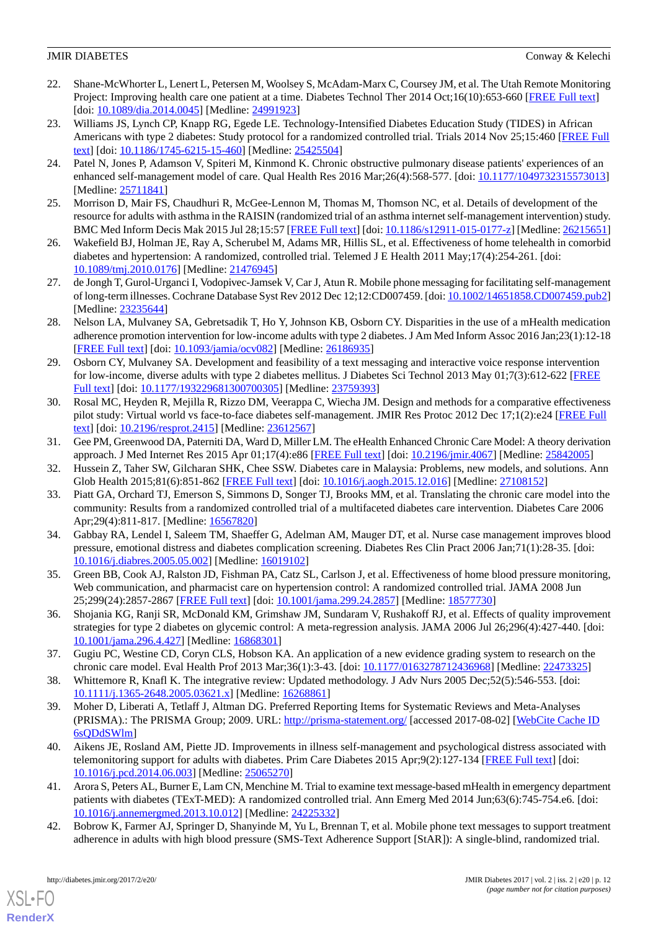- <span id="page-11-6"></span>22. Shane-McWhorter L, Lenert L, Petersen M, Woolsey S, McAdam-Marx C, Coursey JM, et al. The Utah Remote Monitoring Project: Improving health care one patient at a time. Diabetes Technol Ther 2014 Oct;16(10):653-660 [[FREE Full text](http://europepmc.org/abstract/MED/24991923)] [doi: [10.1089/dia.2014.0045](http://dx.doi.org/10.1089/dia.2014.0045)] [Medline: [24991923](http://www.ncbi.nlm.nih.gov/entrez/query.fcgi?cmd=Retrieve&db=PubMed&list_uids=24991923&dopt=Abstract)]
- <span id="page-11-0"></span>23. Williams JS, Lynch CP, Knapp RG, Egede LE. Technology-Intensified Diabetes Education Study (TIDES) in African Americans with type 2 diabetes: Study protocol for a randomized controlled trial. Trials 2014 Nov 25;15:460 [\[FREE Full](https://trialsjournal.biomedcentral.com/articles/10.1186/1745-6215-15-460) [text](https://trialsjournal.biomedcentral.com/articles/10.1186/1745-6215-15-460)] [doi: [10.1186/1745-6215-15-460\]](http://dx.doi.org/10.1186/1745-6215-15-460) [Medline: [25425504\]](http://www.ncbi.nlm.nih.gov/entrez/query.fcgi?cmd=Retrieve&db=PubMed&list_uids=25425504&dopt=Abstract)
- <span id="page-11-1"></span>24. Patel N, Jones P, Adamson V, Spiteri M, Kinmond K. Chronic obstructive pulmonary disease patients' experiences of an enhanced self-management model of care. Qual Health Res 2016 Mar;26(4):568-577. [doi: [10.1177/1049732315573013](http://dx.doi.org/10.1177/1049732315573013)] [Medline: [25711841](http://www.ncbi.nlm.nih.gov/entrez/query.fcgi?cmd=Retrieve&db=PubMed&list_uids=25711841&dopt=Abstract)]
- <span id="page-11-2"></span>25. Morrison D, Mair FS, Chaudhuri R, McGee-Lennon M, Thomas M, Thomson NC, et al. Details of development of the resource for adults with asthma in the RAISIN (randomized trial of an asthma internet self-management intervention) study. BMC Med Inform Decis Mak 2015 Jul 28;15:57 [\[FREE Full text\]](https://bmcmedinformdecismak.biomedcentral.com/articles/10.1186/s12911-015-0177-z) [doi: [10.1186/s12911-015-0177-z](http://dx.doi.org/10.1186/s12911-015-0177-z)] [Medline: [26215651](http://www.ncbi.nlm.nih.gov/entrez/query.fcgi?cmd=Retrieve&db=PubMed&list_uids=26215651&dopt=Abstract)]
- <span id="page-11-3"></span>26. Wakefield BJ, Holman JE, Ray A, Scherubel M, Adams MR, Hillis SL, et al. Effectiveness of home telehealth in comorbid diabetes and hypertension: A randomized, controlled trial. Telemed J E Health 2011 May;17(4):254-261. [doi: [10.1089/tmj.2010.0176](http://dx.doi.org/10.1089/tmj.2010.0176)] [Medline: [21476945\]](http://www.ncbi.nlm.nih.gov/entrez/query.fcgi?cmd=Retrieve&db=PubMed&list_uids=21476945&dopt=Abstract)
- <span id="page-11-4"></span>27. de Jongh T, Gurol-Urganci I, Vodopivec-Jamsek V, Car J, Atun R. Mobile phone messaging for facilitating self-management of long-term illnesses. Cochrane Database Syst Rev 2012 Dec 12;12:CD007459. [doi: [10.1002/14651858.CD007459.pub2](http://dx.doi.org/10.1002/14651858.CD007459.pub2)] [Medline: [23235644](http://www.ncbi.nlm.nih.gov/entrez/query.fcgi?cmd=Retrieve&db=PubMed&list_uids=23235644&dopt=Abstract)]
- <span id="page-11-5"></span>28. Nelson LA, Mulvaney SA, Gebretsadik T, Ho Y, Johnson KB, Osborn CY. Disparities in the use of a mHealth medication adherence promotion intervention for low-income adults with type 2 diabetes. J Am Med Inform Assoc 2016 Jan;23(1):12-18 [[FREE Full text](http://europepmc.org/abstract/MED/26186935)] [doi: [10.1093/jamia/ocv082](http://dx.doi.org/10.1093/jamia/ocv082)] [Medline: [26186935\]](http://www.ncbi.nlm.nih.gov/entrez/query.fcgi?cmd=Retrieve&db=PubMed&list_uids=26186935&dopt=Abstract)
- <span id="page-11-7"></span>29. Osborn CY, Mulvaney SA. Development and feasibility of a text messaging and interactive voice response intervention for low-income, diverse adults with type 2 diabetes mellitus. J Diabetes Sci Technol 2013 May 01;7(3):612-622 [\[FREE](http://europepmc.org/abstract/MED/23759393) [Full text\]](http://europepmc.org/abstract/MED/23759393) [doi: [10.1177/193229681300700305](http://dx.doi.org/10.1177/193229681300700305)] [Medline: [23759393](http://www.ncbi.nlm.nih.gov/entrez/query.fcgi?cmd=Retrieve&db=PubMed&list_uids=23759393&dopt=Abstract)]
- <span id="page-11-8"></span>30. Rosal MC, Heyden R, Mejilla R, Rizzo DM, Veerappa C, Wiecha JM. Design and methods for a comparative effectiveness pilot study: Virtual world vs face-to-face diabetes self-management. JMIR Res Protoc 2012 Dec 17;1(2):e24 [[FREE Full](http://www.researchprotocols.org/2012/2/e24/) [text](http://www.researchprotocols.org/2012/2/e24/)] [doi: [10.2196/resprot.2415](http://dx.doi.org/10.2196/resprot.2415)] [Medline: [23612567\]](http://www.ncbi.nlm.nih.gov/entrez/query.fcgi?cmd=Retrieve&db=PubMed&list_uids=23612567&dopt=Abstract)
- <span id="page-11-10"></span><span id="page-11-9"></span>31. Gee PM, Greenwood DA, Paterniti DA, Ward D, Miller LM. The eHealth Enhanced Chronic Care Model: A theory derivation approach. J Med Internet Res 2015 Apr 01;17(4):e86 [\[FREE Full text\]](http://www.jmir.org/2015/4/e86/) [doi: [10.2196/jmir.4067](http://dx.doi.org/10.2196/jmir.4067)] [Medline: [25842005\]](http://www.ncbi.nlm.nih.gov/entrez/query.fcgi?cmd=Retrieve&db=PubMed&list_uids=25842005&dopt=Abstract)
- <span id="page-11-11"></span>32. Hussein Z, Taher SW, Gilcharan SHK, Chee SSW. Diabetes care in Malaysia: Problems, new models, and solutions. Ann Glob Health 2015;81(6):851-862 [[FREE Full text\]](https://linkinghub.elsevier.com/retrieve/pii/S2214-9996(15)01313-2) [doi: [10.1016/j.aogh.2015.12.016\]](http://dx.doi.org/10.1016/j.aogh.2015.12.016) [Medline: [27108152](http://www.ncbi.nlm.nih.gov/entrez/query.fcgi?cmd=Retrieve&db=PubMed&list_uids=27108152&dopt=Abstract)]
- 33. Piatt GA, Orchard TJ, Emerson S, Simmons D, Songer TJ, Brooks MM, et al. Translating the chronic care model into the community: Results from a randomized controlled trial of a multifaceted diabetes care intervention. Diabetes Care 2006 Apr;29(4):811-817. [Medline: [16567820\]](http://www.ncbi.nlm.nih.gov/entrez/query.fcgi?cmd=Retrieve&db=PubMed&list_uids=16567820&dopt=Abstract)
- <span id="page-11-12"></span>34. Gabbay RA, Lendel I, Saleem TM, Shaeffer G, Adelman AM, Mauger DT, et al. Nurse case management improves blood pressure, emotional distress and diabetes complication screening. Diabetes Res Clin Pract 2006 Jan;71(1):28-35. [doi: [10.1016/j.diabres.2005.05.002](http://dx.doi.org/10.1016/j.diabres.2005.05.002)] [Medline: [16019102](http://www.ncbi.nlm.nih.gov/entrez/query.fcgi?cmd=Retrieve&db=PubMed&list_uids=16019102&dopt=Abstract)]
- <span id="page-11-13"></span>35. Green BB, Cook AJ, Ralston JD, Fishman PA, Catz SL, Carlson J, et al. Effectiveness of home blood pressure monitoring, Web communication, and pharmacist care on hypertension control: A randomized controlled trial. JAMA 2008 Jun 25;299(24):2857-2867 [[FREE Full text](http://europepmc.org/abstract/MED/18577730)] [doi: [10.1001/jama.299.24.2857\]](http://dx.doi.org/10.1001/jama.299.24.2857) [Medline: [18577730\]](http://www.ncbi.nlm.nih.gov/entrez/query.fcgi?cmd=Retrieve&db=PubMed&list_uids=18577730&dopt=Abstract)
- <span id="page-11-14"></span>36. Shojania KG, Ranji SR, McDonald KM, Grimshaw JM, Sundaram V, Rushakoff RJ, et al. Effects of quality improvement strategies for type 2 diabetes on glycemic control: A meta-regression analysis. JAMA 2006 Jul 26;296(4):427-440. [doi: [10.1001/jama.296.4.427\]](http://dx.doi.org/10.1001/jama.296.4.427) [Medline: [16868301\]](http://www.ncbi.nlm.nih.gov/entrez/query.fcgi?cmd=Retrieve&db=PubMed&list_uids=16868301&dopt=Abstract)
- <span id="page-11-15"></span>37. Gugiu PC, Westine CD, Coryn CLS, Hobson KA. An application of a new evidence grading system to research on the chronic care model. Eval Health Prof 2013 Mar;36(1):3-43. [doi: [10.1177/0163278712436968](http://dx.doi.org/10.1177/0163278712436968)] [Medline: [22473325\]](http://www.ncbi.nlm.nih.gov/entrez/query.fcgi?cmd=Retrieve&db=PubMed&list_uids=22473325&dopt=Abstract)
- <span id="page-11-16"></span>38. Whittemore R, Knafl K. The integrative review: Updated methodology. J Adv Nurs 2005 Dec;52(5):546-553. [doi: [10.1111/j.1365-2648.2005.03621.x\]](http://dx.doi.org/10.1111/j.1365-2648.2005.03621.x) [Medline: [16268861\]](http://www.ncbi.nlm.nih.gov/entrez/query.fcgi?cmd=Retrieve&db=PubMed&list_uids=16268861&dopt=Abstract)
- <span id="page-11-17"></span>39. Moher D, Liberati A, Tetlaff J, Altman DG. Preferred Reporting Items for Systematic Reviews and Meta-Analyses (PRISMA).: The PRISMA Group; 2009. URL:<http://prisma-statement.org/> [accessed 2017-08-02] [\[WebCite Cache ID](http://www.webcitation.org/

                                6sQDdSWlm) [6sQDdSWlm](http://www.webcitation.org/

                                6sQDdSWlm)]
- <span id="page-11-18"></span>40. Aikens JE, Rosland AM, Piette JD. Improvements in illness self-management and psychological distress associated with telemonitoring support for adults with diabetes. Prim Care Diabetes 2015 Apr;9(2):127-134 [\[FREE Full text\]](http://europepmc.org/abstract/MED/25065270) [doi: [10.1016/j.pcd.2014.06.003](http://dx.doi.org/10.1016/j.pcd.2014.06.003)] [Medline: [25065270\]](http://www.ncbi.nlm.nih.gov/entrez/query.fcgi?cmd=Retrieve&db=PubMed&list_uids=25065270&dopt=Abstract)
- 41. Arora S, Peters AL, Burner E, Lam CN, Menchine M. Trial to examine text message-based mHealth in emergency department patients with diabetes (TExT-MED): A randomized controlled trial. Ann Emerg Med 2014 Jun;63(6):745-754.e6. [doi: [10.1016/j.annemergmed.2013.10.012](http://dx.doi.org/10.1016/j.annemergmed.2013.10.012)] [Medline: [24225332\]](http://www.ncbi.nlm.nih.gov/entrez/query.fcgi?cmd=Retrieve&db=PubMed&list_uids=24225332&dopt=Abstract)
- 42. Bobrow K, Farmer AJ, Springer D, Shanyinde M, Yu L, Brennan T, et al. Mobile phone text messages to support treatment adherence in adults with high blood pressure (SMS-Text Adherence Support [StAR]): A single-blind, randomized trial.

[XSL](http://www.w3.org/Style/XSL)•FO **[RenderX](http://www.renderx.com/)**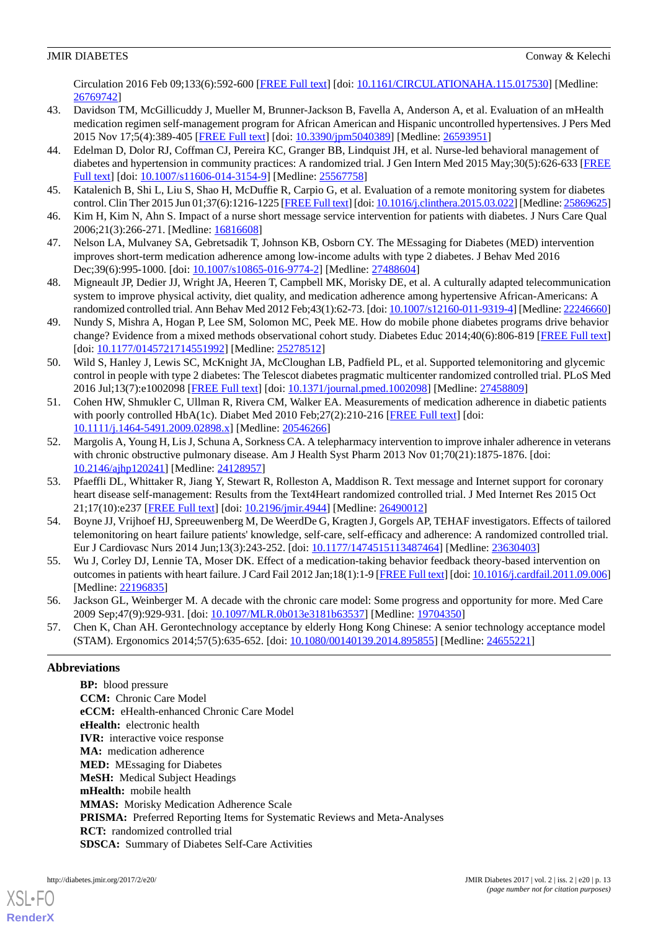Circulation 2016 Feb 09;133(6):592-600 [\[FREE Full text\]](http://circ.ahajournals.org/cgi/pmidlookup?view=long&pmid=26769742) [doi: [10.1161/CIRCULATIONAHA.115.017530](http://dx.doi.org/10.1161/CIRCULATIONAHA.115.017530)] [Medline: [26769742](http://www.ncbi.nlm.nih.gov/entrez/query.fcgi?cmd=Retrieve&db=PubMed&list_uids=26769742&dopt=Abstract)]

- <span id="page-12-1"></span>43. Davidson TM, McGillicuddy J, Mueller M, Brunner-Jackson B, Favella A, Anderson A, et al. Evaluation of an mHealth medication regimen self-management program for African American and Hispanic uncontrolled hypertensives. J Pers Med 2015 Nov 17;5(4):389-405 [[FREE Full text](http://www.mdpi.com/resolver?pii=jpm5040389)] [doi: [10.3390/jpm5040389\]](http://dx.doi.org/10.3390/jpm5040389) [Medline: [26593951](http://www.ncbi.nlm.nih.gov/entrez/query.fcgi?cmd=Retrieve&db=PubMed&list_uids=26593951&dopt=Abstract)]
- <span id="page-12-2"></span>44. Edelman D, Dolor RJ, Coffman CJ, Pereira KC, Granger BB, Lindquist JH, et al. Nurse-led behavioral management of diabetes and hypertension in community practices: A randomized trial. J Gen Intern Med 2015 May;30(5):626-633 [\[FREE](http://europepmc.org/abstract/MED/25567758) [Full text\]](http://europepmc.org/abstract/MED/25567758) [doi: [10.1007/s11606-014-3154-9](http://dx.doi.org/10.1007/s11606-014-3154-9)] [Medline: [25567758](http://www.ncbi.nlm.nih.gov/entrez/query.fcgi?cmd=Retrieve&db=PubMed&list_uids=25567758&dopt=Abstract)]
- <span id="page-12-4"></span><span id="page-12-3"></span>45. Katalenich B, Shi L, Liu S, Shao H, McDuffie R, Carpio G, et al. Evaluation of a remote monitoring system for diabetes control. Clin Ther 2015 Jun 01;37(6):1216-1225 [[FREE Full text](http://europepmc.org/abstract/MED/25869625)] [doi: [10.1016/j.clinthera.2015.03.022](http://dx.doi.org/10.1016/j.clinthera.2015.03.022)] [Medline: [25869625\]](http://www.ncbi.nlm.nih.gov/entrez/query.fcgi?cmd=Retrieve&db=PubMed&list_uids=25869625&dopt=Abstract)
- <span id="page-12-6"></span>46. Kim H, Kim N, Ahn S. Impact of a nurse short message service intervention for patients with diabetes. J Nurs Care Qual 2006;21(3):266-271. [Medline: [16816608](http://www.ncbi.nlm.nih.gov/entrez/query.fcgi?cmd=Retrieve&db=PubMed&list_uids=16816608&dopt=Abstract)]
- <span id="page-12-5"></span>47. Nelson LA, Mulvaney SA, Gebretsadik T, Johnson KB, Osborn CY. The MEssaging for Diabetes (MED) intervention improves short-term medication adherence among low-income adults with type 2 diabetes. J Behav Med 2016 Dec;39(6):995-1000. [doi: [10.1007/s10865-016-9774-2\]](http://dx.doi.org/10.1007/s10865-016-9774-2) [Medline: [27488604](http://www.ncbi.nlm.nih.gov/entrez/query.fcgi?cmd=Retrieve&db=PubMed&list_uids=27488604&dopt=Abstract)]
- <span id="page-12-7"></span>48. Migneault JP, Dedier JJ, Wright JA, Heeren T, Campbell MK, Morisky DE, et al. A culturally adapted telecommunication system to improve physical activity, diet quality, and medication adherence among hypertensive African-Americans: A randomized controlled trial. Ann Behav Med 2012 Feb;43(1):62-73. [doi: [10.1007/s12160-011-9319-4](http://dx.doi.org/10.1007/s12160-011-9319-4)] [Medline: [22246660](http://www.ncbi.nlm.nih.gov/entrez/query.fcgi?cmd=Retrieve&db=PubMed&list_uids=22246660&dopt=Abstract)]
- <span id="page-12-0"></span>49. Nundy S, Mishra A, Hogan P, Lee SM, Solomon MC, Peek ME. How do mobile phone diabetes programs drive behavior change? Evidence from a mixed methods observational cohort study. Diabetes Educ 2014;40(6):806-819 [\[FREE Full text](http://europepmc.org/abstract/MED/25278512)] [doi: [10.1177/0145721714551992](http://dx.doi.org/10.1177/0145721714551992)] [Medline: [25278512\]](http://www.ncbi.nlm.nih.gov/entrez/query.fcgi?cmd=Retrieve&db=PubMed&list_uids=25278512&dopt=Abstract)
- <span id="page-12-8"></span>50. Wild S, Hanley J, Lewis SC, McKnight JA, McCloughan LB, Padfield PL, et al. Supported telemonitoring and glycemic control in people with type 2 diabetes: The Telescot diabetes pragmatic multicenter randomized controlled trial. PLoS Med 2016 Jul;13(7):e1002098 [\[FREE Full text\]](http://dx.plos.org/10.1371/journal.pmed.1002098) [doi: [10.1371/journal.pmed.1002098\]](http://dx.doi.org/10.1371/journal.pmed.1002098) [Medline: [27458809](http://www.ncbi.nlm.nih.gov/entrez/query.fcgi?cmd=Retrieve&db=PubMed&list_uids=27458809&dopt=Abstract)]
- <span id="page-12-9"></span>51. Cohen HW, Shmukler C, Ullman R, Rivera CM, Walker EA. Measurements of medication adherence in diabetic patients with poorly controlled HbA(1c). Diabet Med 2010 Feb; 27(2): 210-216 [[FREE Full text](http://europepmc.org/abstract/MED/20546266)] [doi: [10.1111/j.1464-5491.2009.02898.x\]](http://dx.doi.org/10.1111/j.1464-5491.2009.02898.x) [Medline: [20546266\]](http://www.ncbi.nlm.nih.gov/entrez/query.fcgi?cmd=Retrieve&db=PubMed&list_uids=20546266&dopt=Abstract)
- <span id="page-12-10"></span>52. Margolis A, Young H, Lis J, Schuna A, Sorkness CA. A telepharmacy intervention to improve inhaler adherence in veterans with chronic obstructive pulmonary disease. Am J Health Syst Pharm 2013 Nov 01;70(21):1875-1876. [doi: [10.2146/ajhp120241](http://dx.doi.org/10.2146/ajhp120241)] [Medline: [24128957\]](http://www.ncbi.nlm.nih.gov/entrez/query.fcgi?cmd=Retrieve&db=PubMed&list_uids=24128957&dopt=Abstract)
- <span id="page-12-11"></span>53. Pfaeffli DL, Whittaker R, Jiang Y, Stewart R, Rolleston A, Maddison R. Text message and Internet support for coronary heart disease self-management: Results from the Text4Heart randomized controlled trial. J Med Internet Res 2015 Oct 21;17(10):e237 [\[FREE Full text](http://www.jmir.org/2015/10/e237/)] [doi: [10.2196/jmir.4944\]](http://dx.doi.org/10.2196/jmir.4944) [Medline: [26490012](http://www.ncbi.nlm.nih.gov/entrez/query.fcgi?cmd=Retrieve&db=PubMed&list_uids=26490012&dopt=Abstract)]
- <span id="page-12-13"></span><span id="page-12-12"></span>54. Boyne JJ, Vrijhoef HJ, Spreeuwenberg M, De WeerdDe G, Kragten J, Gorgels AP, TEHAF investigators. Effects of tailored telemonitoring on heart failure patients' knowledge, self-care, self-efficacy and adherence: A randomized controlled trial. Eur J Cardiovasc Nurs 2014 Jun;13(3):243-252. [doi: [10.1177/1474515113487464\]](http://dx.doi.org/10.1177/1474515113487464) [Medline: [23630403](http://www.ncbi.nlm.nih.gov/entrez/query.fcgi?cmd=Retrieve&db=PubMed&list_uids=23630403&dopt=Abstract)]
- <span id="page-12-14"></span>55. Wu J, Corley DJ, Lennie TA, Moser DK. Effect of a medication-taking behavior feedback theory-based intervention on outcomes in patients with heart failure. J Card Fail 2012 Jan;18(1):1-9 [[FREE Full text](http://europepmc.org/abstract/MED/22196835)] [doi: [10.1016/j.cardfail.2011.09.006](http://dx.doi.org/10.1016/j.cardfail.2011.09.006)] [Medline: [22196835](http://www.ncbi.nlm.nih.gov/entrez/query.fcgi?cmd=Retrieve&db=PubMed&list_uids=22196835&dopt=Abstract)]
- 56. Jackson GL, Weinberger M. A decade with the chronic care model: Some progress and opportunity for more. Med Care 2009 Sep;47(9):929-931. [doi: [10.1097/MLR.0b013e3181b63537\]](http://dx.doi.org/10.1097/MLR.0b013e3181b63537) [Medline: [19704350\]](http://www.ncbi.nlm.nih.gov/entrez/query.fcgi?cmd=Retrieve&db=PubMed&list_uids=19704350&dopt=Abstract)
- 57. Chen K, Chan AH. Gerontechnology acceptance by elderly Hong Kong Chinese: A senior technology acceptance model (STAM). Ergonomics 2014;57(5):635-652. [doi: [10.1080/00140139.2014.895855\]](http://dx.doi.org/10.1080/00140139.2014.895855) [Medline: [24655221\]](http://www.ncbi.nlm.nih.gov/entrez/query.fcgi?cmd=Retrieve&db=PubMed&list_uids=24655221&dopt=Abstract)

### **Abbreviations**

**BP:** blood pressure **CCM:** Chronic Care Model **eCCM:** eHealth-enhanced Chronic Care Model **eHealth:** electronic health **IVR:** interactive voice response **MA:** medication adherence **MED:** MEssaging for Diabetes **MeSH:** Medical Subject Headings **mHealth:** mobile health **MMAS:** Morisky Medication Adherence Scale **PRISMA:** Preferred Reporting Items for Systematic Reviews and Meta-Analyses **RCT:** randomized controlled trial **SDSCA:** Summary of Diabetes Self-Care Activities

[XSL](http://www.w3.org/Style/XSL)•FO **[RenderX](http://www.renderx.com/)**